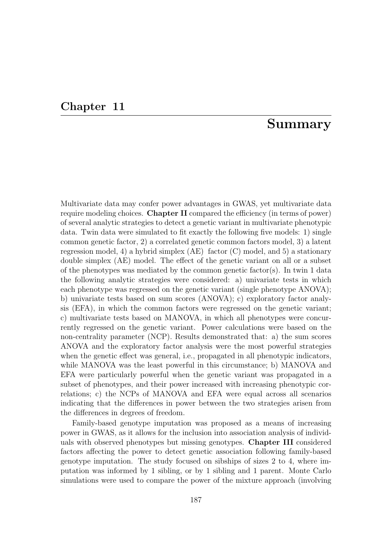## Chapter 11

## Summary

Multivariate data may confer power advantages in GWAS, yet multivariate data require modeling choices. Chapter II compared the efficiency (in terms of power) of several analytic strategies to detect a genetic variant in multivariate phenotypic data. Twin data were simulated to fit exactly the following five models: 1) single common genetic factor, 2) a correlated genetic common factors model, 3) a latent regression model, 4) a hybrid simplex (AE) factor (C) model, and 5) a stationary double simplex (AE) model. The effect of the genetic variant on all or a subset of the phenotypes was mediated by the common genetic factor(s). In twin 1 data the following analytic strategies were considered: a) univariate tests in which each phenotype was regressed on the genetic variant (single phenotype ANOVA); b) univariate tests based on sum scores (ANOVA); c) exploratory factor analysis (EFA), in which the common factors were regressed on the genetic variant; c) multivariate tests based on MANOVA, in which all phenotypes were concurrently regressed on the genetic variant. Power calculations were based on the non-centrality parameter (NCP). Results demonstrated that: a) the sum scores ANOVA and the exploratory factor analysis were the most powerful strategies when the genetic effect was general, i.e., propagated in all phenotypic indicators, while MANOVA was the least powerful in this circumstance; b) MANOVA and EFA were particularly powerful when the genetic variant was propagated in a subset of phenotypes, and their power increased with increasing phenotypic correlations; c) the NCPs of MANOVA and EFA were equal across all scenarios indicating that the differences in power between the two strategies arisen from the differences in degrees of freedom.

Family-based genotype imputation was proposed as a means of increasing power in GWAS, as it allows for the inclusion into association analysis of individuals with observed phenotypes but missing genotypes. Chapter III considered factors affecting the power to detect genetic association following family-based genotype imputation. The study focused on sibships of sizes 2 to 4, where imputation was informed by 1 sibling, or by 1 sibling and 1 parent. Monte Carlo simulations were used to compare the power of the mixture approach (involving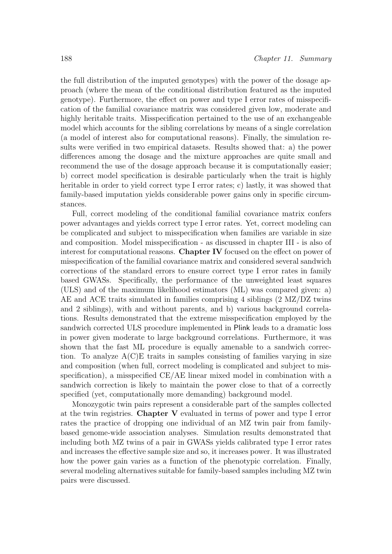the full distribution of the imputed genotypes) with the power of the dosage approach (where the mean of the conditional distribution featured as the imputed genotype). Furthermore, the effect on power and type I error rates of misspecification of the familial covariance matrix was considered given low, moderate and highly heritable traits. Misspecification pertained to the use of an exchangeable model which accounts for the sibling correlations by means of a single correlation (a model of interest also for computational reasons). Finally, the simulation results were verified in two empirical datasets. Results showed that: a) the power differences among the dosage and the mixture approaches are quite small and recommend the use of the dosage approach because it is computationally easier; b) correct model specification is desirable particularly when the trait is highly heritable in order to yield correct type I error rates; c) lastly, it was showed that family-based imputation yields considerable power gains only in specific circumstances.

Full, correct modeling of the conditional familial covariance matrix confers power advantages and yields correct type I error rates. Yet, correct modeling can be complicated and subject to misspecification when families are variable in size and composition. Model misspecification - as discussed in chapter III - is also of interest for computational reasons. Chapter IV focused on the effect on power of misspecification of the familial covariance matrix and considered several sandwich corrections of the standard errors to ensure correct type I error rates in family based GWASs. Specifically, the performance of the unweighted least squares (ULS) and of the maximum likelihood estimators (ML) was compared given: a) AE and ACE traits simulated in families comprising 4 siblings (2 MZ/DZ twins and 2 siblings), with and without parents, and b) various background correlations. Results demonstrated that the extreme misspecification employed by the sandwich corrected ULS procedure implemented in Plink leads to a dramatic loss in power given moderate to large background correlations. Furthermore, it was shown that the fast ML procedure is equally amenable to a sandwich correction. To analyze  $A(C)E$  traits in samples consisting of families varying in size and composition (when full, correct modeling is complicated and subject to misspecification), a misspecified CE/AE linear mixed model in combination with a sandwich correction is likely to maintain the power close to that of a correctly specified (yet, computationally more demanding) background model.

Monozygotic twin pairs represent a considerable part of the samples collected at the twin registries. Chapter V evaluated in terms of power and type I error rates the practice of dropping one individual of an MZ twin pair from familybased genome-wide association analyses. Simulation results demonstrated that including both MZ twins of a pair in GWASs yields calibrated type I error rates and increases the effective sample size and so, it increases power. It was illustrated how the power gain varies as a function of the phenotypic correlation. Finally, several modeling alternatives suitable for family-based samples including MZ twin pairs were discussed.